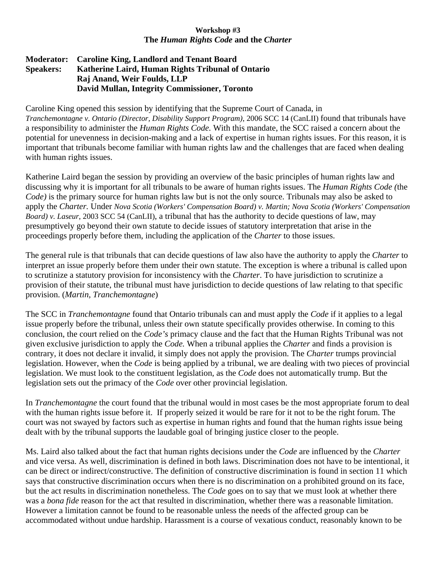## **Workshop #3 The** *Human Rights Code* **and the** *Charter*

## **Moderator: Caroline King, Landlord and Tenant Board Speakers: Katherine Laird, Human Rights Tribunal of Ontario Raj Anand, Weir Foulds, LLP David Mullan, Integrity Commissioner, Toronto**

Caroline King opened this session by identifying that the Supreme Court of Canada, in *Tranchemontagne v. Ontario (Director, Disability Support Program)*, 2006 SCC 14 (CanLII) found that tribunals have a responsibility to administer the *Human Rights Code.* With this mandate, the SCC raised a concern about the potential for unevenness in decision-making and a lack of expertise in human rights issues. For this reason, it is important that tribunals become familiar with human rights law and the challenges that are faced when dealing with human rights issues.

Katherine Laird began the session by providing an overview of the basic principles of human rights law and discussing why it is important for all tribunals to be aware of human rights issues. The *Human Rights Code (*the *Code)* is the primary source for human rights law but is not the only source. Tribunals may also be asked to apply the *Charter.* Under *Nova Scotia (Workers' Compensation Board) v. Martin; Nova Scotia (Workers' Compensation Board) v. Laseur*, 2003 SCC 54 (CanLII), a tribunal that has the authority to decide questions of law, may presumptively go beyond their own statute to decide issues of statutory interpretation that arise in the proceedings properly before them, including the application of the *Charter* to those issues.

The general rule is that tribunals that can decide questions of law also have the authority to apply the *Charter* to interpret an issue properly before them under their own statute. The exception is where a tribunal is called upon to scrutinize a statutory provision for inconsistency with the *Charter*. To have jurisdiction to scrutinize a provision of their statute, the tribunal must have jurisdiction to decide questions of law relating to that specific provision. (*Martin, Tranchemontagne*)

The SCC in *Tranchemontagne* found that Ontario tribunals can and must apply the *Code* if it applies to a legal issue properly before the tribunal, unless their own statute specifically provides otherwise. In coming to this conclusion, the court relied on the *Code's* primacy clause and the fact that the Human Rights Tribunal was not given exclusive jurisdiction to apply the *Code.* When a tribunal applies the *Charter* and finds a provision is contrary, it does not declare it invalid, it simply does not apply the provision. The *Charter* trumps provincial legislation. However, when the *Code* is being applied by a tribunal, we are dealing with two pieces of provincial legislation. We must look to the constituent legislation, as the *Code* does not automatically trump. But the legislation sets out the primacy of the *Code* over other provincial legislation.

In *Tranchemontagne* the court found that the tribunal would in most cases be the most appropriate forum to deal with the human rights issue before it. If properly seized it would be rare for it not to be the right forum. The court was not swayed by factors such as expertise in human rights and found that the human rights issue being dealt with by the tribunal supports the laudable goal of bringing justice closer to the people.

Ms. Laird also talked about the fact that human rights decisions under the *Code* are influenced by the *Charter*  and vice versa. As well, discrimination is defined in both laws. Discrimination does not have to be intentional, it can be direct or indirect/constructive. The definition of constructive discrimination is found in section 11 which says that constructive discrimination occurs when there is no discrimination on a prohibited ground on its face, but the act results in discrimination nonetheless. The *Code* goes on to say that we must look at whether there was a *bona fide* reason for the act that resulted in discrimination, whether there was a reasonable limitation. However a limitation cannot be found to be reasonable unless the needs of the affected group can be accommodated without undue hardship. Harassment is a course of vexatious conduct, reasonably known to be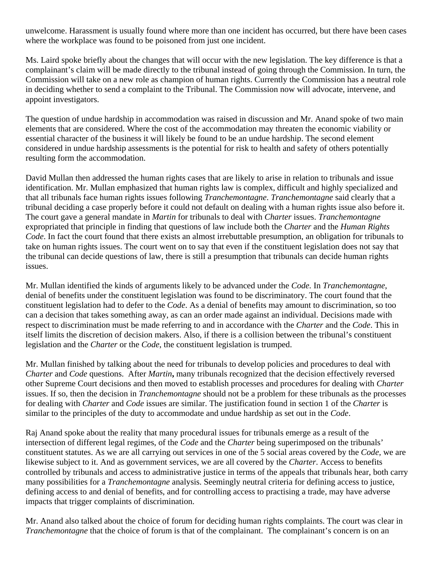unwelcome. Harassment is usually found where more than one incident has occurred, but there have been cases where the workplace was found to be poisoned from just one incident.

Ms. Laird spoke briefly about the changes that will occur with the new legislation. The key difference is that a complainant's claim will be made directly to the tribunal instead of going through the Commission. In turn, the Commission will take on a new role as champion of human rights. Currently the Commission has a neutral role in deciding whether to send a complaint to the Tribunal. The Commission now will advocate, intervene, and appoint investigators.

The question of undue hardship in accommodation was raised in discussion and Mr. Anand spoke of two main elements that are considered. Where the cost of the accommodation may threaten the economic viability or essential character of the business it will likely be found to be an undue hardship. The second element considered in undue hardship assessments is the potential for risk to health and safety of others potentially resulting form the accommodation.

David Mullan then addressed the human rights cases that are likely to arise in relation to tribunals and issue identification. Mr. Mullan emphasized that human rights law is complex, difficult and highly specialized and that all tribunals face human rights issues following *Tranchemontagne*. *Tranchemontagne* said clearly that a tribunal deciding a case properly before it could not default on dealing with a human rights issue also before it. The court gave a general mandate in *Martin* for tribunals to deal with *Charter* issues. *Tranchemontagne*  expropriated that principle in finding that questions of law include both the *Charter* and the *Human Rights Code*. In fact the court found that there exists an almost irrebuttable presumption, an obligation for tribunals to take on human rights issues. The court went on to say that even if the constituent legislation does not say that the tribunal can decide questions of law, there is still a presumption that tribunals can decide human rights issues.

Mr. Mullan identified the kinds of arguments likely to be advanced under the *Code.* In *Tranchemontagne*, denial of benefits under the constituent legislation was found to be discriminatory. The court found that the constituent legislation had to defer to the *Code*. As a denial of benefits may amount to discrimination, so too can a decision that takes something away, as can an order made against an individual. Decisions made with respect to discrimination must be made referring to and in accordance with the *Charter* and the *Code*. This in itself limits the discretion of decision makers. Also, if there is a collision between the tribunal's constituent legislation and the *Charter* or the *Code*, the constituent legislation is trumped.

Mr. Mullan finished by talking about the need for tribunals to develop policies and procedures to deal with *Charter* and *Code* questions. After *Martin***,** many tribunals recognized that the decision effectively reversed other Supreme Court decisions and then moved to establish processes and procedures for dealing with *Charter* issues. If so, then the decision in *Tranchemontagne* should not be a problem for these tribunals as the processes for dealing with *Charter* and *Code* issues are similar. The justification found in section 1 of the *Charter* is similar to the principles of the duty to accommodate and undue hardship as set out in the *Code*.

Raj Anand spoke about the reality that many procedural issues for tribunals emerge as a result of the intersection of different legal regimes, of the *Code* and the *Charter* being superimposed on the tribunals' constituent statutes. As we are all carrying out services in one of the 5 social areas covered by the *Code,* we are likewise subject to it. And as government services, we are all covered by the *Charter*. Access to benefits controlled by tribunals and access to administrative justice in terms of the appeals that tribunals hear, both carry many possibilities for a *Tranchemontagne* analysis. Seemingly neutral criteria for defining access to justice, defining access to and denial of benefits, and for controlling access to practising a trade, may have adverse impacts that trigger complaints of discrimination.

Mr. Anand also talked about the choice of forum for deciding human rights complaints. The court was clear in *Tranchemontagne* that the choice of forum is that of the complainant. The complainant's concern is on an